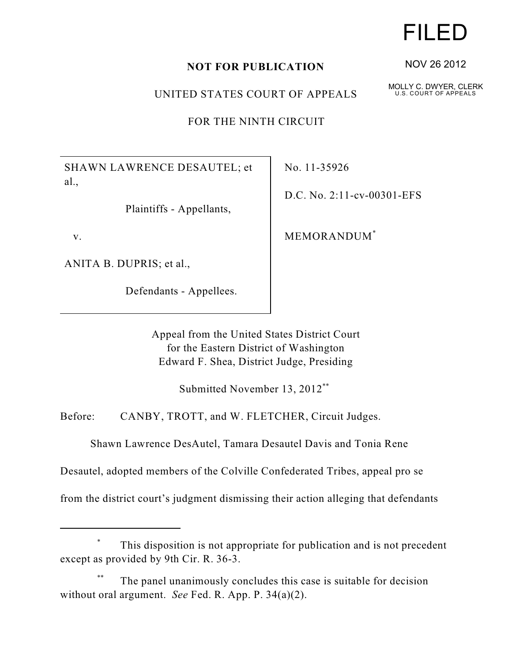## **NOT FOR PUBLICATION**

UNITED STATES COURT OF APPEALS

FOR THE NINTH CIRCUIT

SHAWN LAWRENCE DESAUTEL; et al.,

Plaintiffs - Appellants,

v.

ANITA B. DUPRIS; et al.,

Defendants - Appellees.

No. 11-35926

D.C. No. 2:11-cv-00301-EFS

MEMORANDUM\*

Appeal from the United States District Court for the Eastern District of Washington Edward F. Shea, District Judge, Presiding

Submitted November 13, 2012\*\*

Before: CANBY, TROTT, and W. FLETCHER, Circuit Judges.

Shawn Lawrence DesAutel, Tamara Desautel Davis and Tonia Rene

Desautel, adopted members of the Colville Confederated Tribes, appeal pro se

from the district court's judgment dismissing their action alleging that defendants

## This disposition is not appropriate for publication and is not precedent \* except as provided by 9th Cir. R. 36-3.

The panel unanimously concludes this case is suitable for decision \*\* without oral argument. *See* Fed. R. App. P. 34(a)(2).

## FILED

NOV 26 2012

MOLLY C. DWYER, CLERK U.S. COURT OF APPEALS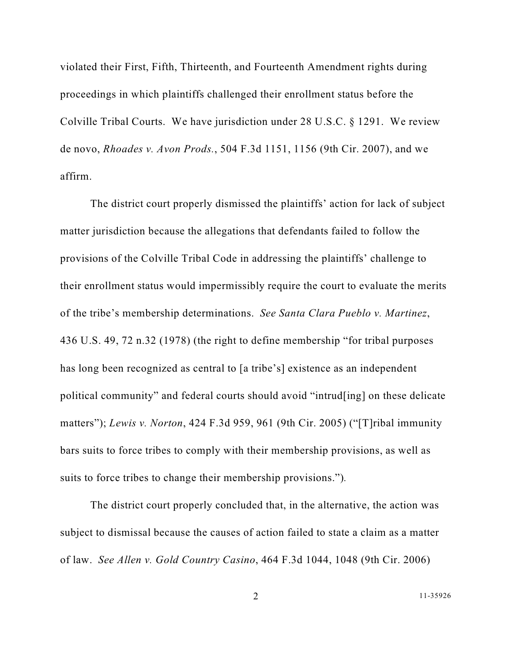violated their First, Fifth, Thirteenth, and Fourteenth Amendment rights during proceedings in which plaintiffs challenged their enrollment status before the Colville Tribal Courts. We have jurisdiction under 28 U.S.C. § 1291. We review de novo, *Rhoades v. Avon Prods.*, 504 F.3d 1151, 1156 (9th Cir. 2007), and we affirm.

The district court properly dismissed the plaintiffs' action for lack of subject matter jurisdiction because the allegations that defendants failed to follow the provisions of the Colville Tribal Code in addressing the plaintiffs' challenge to their enrollment status would impermissibly require the court to evaluate the merits of the tribe's membership determinations. *See Santa Clara Pueblo v. Martinez*, 436 U.S. 49, 72 n.32 (1978) (the right to define membership "for tribal purposes has long been recognized as central to [a tribe's] existence as an independent political community" and federal courts should avoid "intrud[ing] on these delicate matters"); *Lewis v. Norton*, 424 F.3d 959, 961 (9th Cir. 2005) ("[T]ribal immunity bars suits to force tribes to comply with their membership provisions, as well as suits to force tribes to change their membership provisions.")*.*

The district court properly concluded that, in the alternative, the action was subject to dismissal because the causes of action failed to state a claim as a matter of law. *See Allen v. Gold Country Casino*, 464 F.3d 1044, 1048 (9th Cir. 2006)